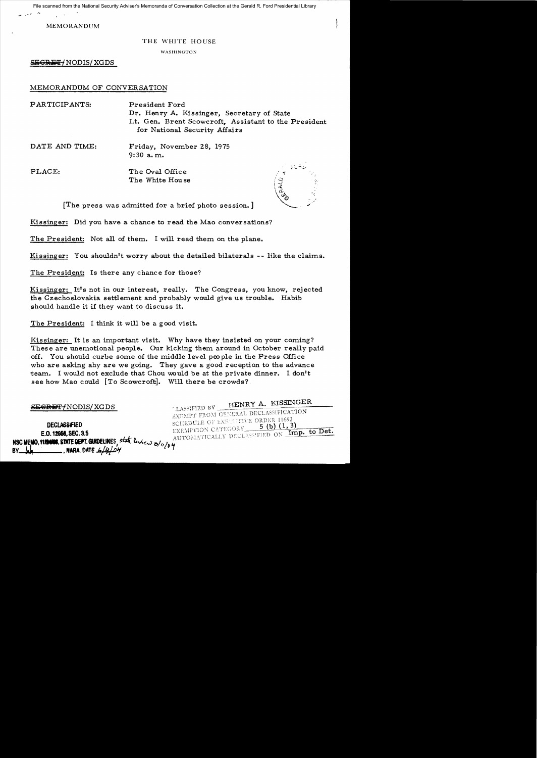File scanned from the National Security Adviser's Memoranda of Conversation Collection at the Gerald R. Ford Presidential Library

MEMORANDUM

## THE WHITE HOUSE

WASHINGTON

SEGRET / NODIS / XGDS

## MEMORANDUM OF CONVERSATION

| PARTICIPANTS:  | President Ford<br>Dr. Henry A. Kissinger, Secretary of State<br>Lt. Gen. Brent Scowcroft, Assistant to the President<br>for National Security Affairs |                               |
|----------------|-------------------------------------------------------------------------------------------------------------------------------------------------------|-------------------------------|
| DATE AND TIME: | Friday, November 28, 1975<br>$9:30$ a.m.                                                                                                              |                               |
| PLACE:         | The Oval Office<br>The White House                                                                                                                    | ಿಸಿದಿದ್ದಾರೆ.<br>$\frac{1}{2}$ |
| rm.            |                                                                                                                                                       |                               |

[The press was admitted for a brief photo session.]

Kissinger: Did you have a chance to read the Mao conversations?

The President: Not all of them. I will read them on the plane.

Kissinger: You shouldn't worry about the detailed bilaterals -- like the claims.

The President: Is there any chance for those?

Kissinger: It's not in our interest, really. The Congress, you know, rejected the Czechoslovakia settlement and probably would give us trouble. Habib should handle it if they want to discuss it.

The President: I think it will be a good visit.

Kissinger: It is an important visit. Why have they insisted on your coming? These are unemotional people. Our kicking them around in October really paid off. You should curbe some of the middle level people in the Press Office who are asking ahy are we going. They gave a good reception to the advance team. I would not exclude that Chou would be at the private dinner. I don't see how Mao could [To Scowcroft]. Will there be crowds?

| SEGRET/NODIS/XGDS                                                                                                                                     | LASSIFIED BY HENRY A. KISSINGER                                                                                                                            |
|-------------------------------------------------------------------------------------------------------------------------------------------------------|------------------------------------------------------------------------------------------------------------------------------------------------------------|
| <b>DECLASSIFIED</b><br>E.O. 12958, SEC. 3.5<br>NSC MEMO, 1120408, STATE DEPT. GUIDELINES, state levicus 3/11/04<br>$\equiv$ , NARA, DATE 6/4/04<br>BY | EXEMPT FROM GENERAL DECLASSIFICATION<br>SCHEDULE OF EXECUTIVE ORDER 11652<br>EXEMPTION CATEGORY 5 (b) (1, 3)<br>AUTOMATICALLY DECLASSIFIED ON Imp. to Det. |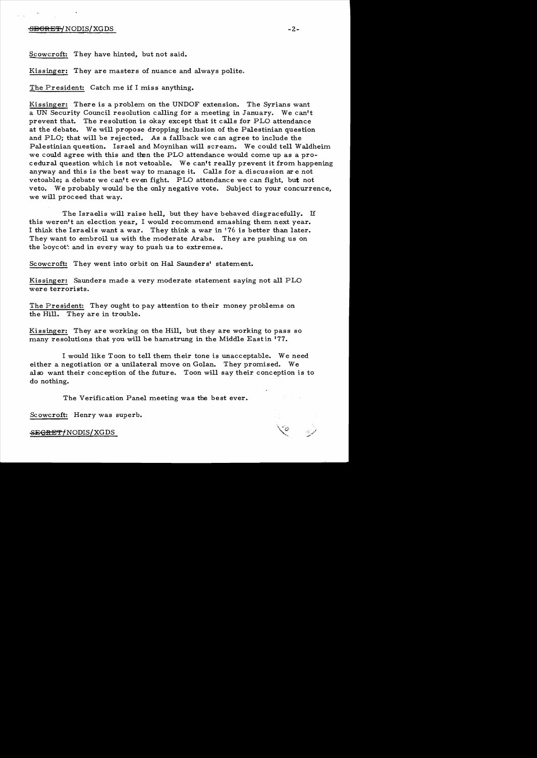## S<del>ECRET/</del>NODIS/XGDS -2-

Scowcroft: They have hinted, but not said.

Kissinger: They are masters of nuance and always polite.

The President: Catch me if I miss anything.

Kissinger: There is a problem on the UNDOF extension. The Syrians want a UN Security Council resolution calling for a meeting in January. We can't prevent that. The resolution is okay except that it calls for PLO attendance at the debate. We will propose dropping inclusion of the Palestinian question and PLO; that will be rejected. As a fallback we can agree to include the Palestinian question. Israel and Moynihan will scream.. We could tell Waldheim. we could agree with this and then the PLO attendance would come up as a procedural question which is not vetoable. We can't really prevent it from happening anyway and this is the best way to manage it. Calls for a discussion are not vetoable; a debate we can't even fight. PLO attendance we can fight, but not veto. We probably would be the only negative vote. Subject to your concurrence, we will proceed that way.

The Israelis will raise hell, but they have behaved disgracefully. If this weren't an election year, I would recommend smashing them next year. I think the Israelis want a war. They think a war in '76 is better than later. They want to embroil us with the moderate Arabs. They are pushing us on the boycott and in every way to push us to extremes.

Scowcroft: They went into orbit on Hal Saunders' statement.

Kissinger: Saunders made a very moderate statement saying not all PLO were terrorists.

The President: They ought to pay attention to their money problems on the Hill. They are in trouble.

Kissinger: They are working on the Hill, but they are working to pass so many resolutions that you will be hamstrung in the Middle Eastin '77.

I would like Toon to tell them their tone is unacceptable. We need either a negotiation or a unilateral move on Golan. They promised. We also want their conception of the future. Toon will say their conception is to do nothing.

The Verification Panel meeting was the best ever.

Scowcroft: Henry was superb.

<del>SEGRET/</del>NODIS/XGDS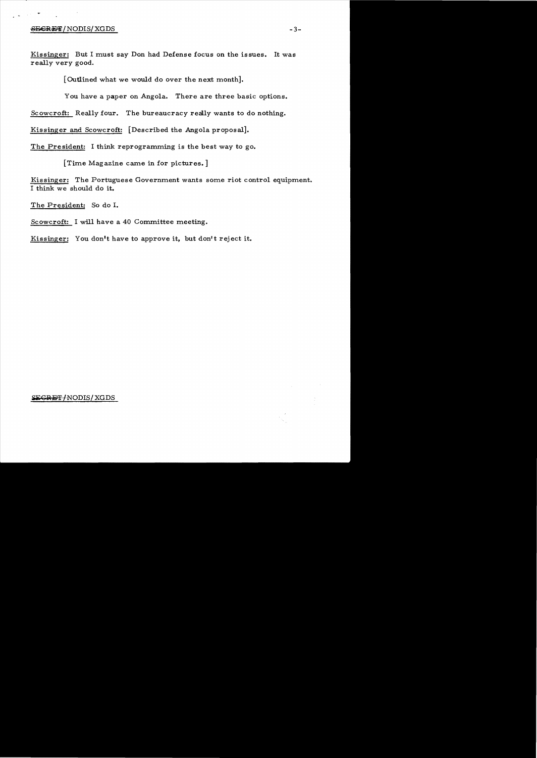## $S$  EGRET/NODIS/XGDS  $-3-$

 $\sim 10^{11}$ 

Kissinger: But I must say Don had Defense focus on the issues. It was really very good.

[Outlined what we would do over the next month].

You have a paper on Angola. There are three basic options.

Scowcroft: Really four. The bureaucracy really wants to do nothing.

Kissinger and Scowcroft: [Described the Angola proposal].

The President: I think reprogramming is the best way to go.

[Time Magazine came in for pictures.]

Kissinger: The Portuguese Government wants some riot control equipment. I think we should do it.

The President: So do I.

Scowcroft: I will have a 40 Committee meeting.

Kissinger: You don't have to approve it, but don't reject it.

 $SEGREF/NODIS/ XGDS$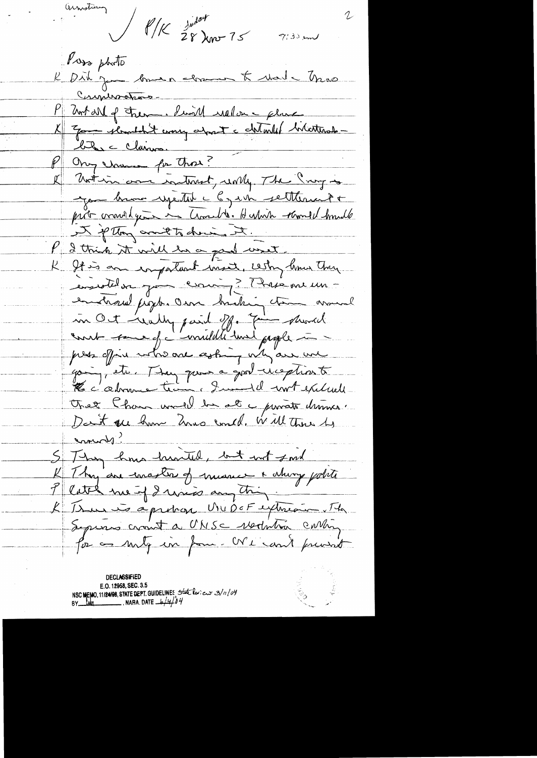Ounstany  $\frac{1}{\sqrt{1-\frac{1}{28}m^2}}$  $7133$  m Poss photo R Did ju somer clame & date Mas Communations-P 2nt M of them. Simil relation - plane<br>X 7 Tom standard coming about a chiterist literations ble claires. Ongerman par Thos? I Motion and interest, world, The Prog is you brown repeated a by who settlement of prob comment years in Crosselle. Humin thanks hundle I plus anotherine It. l'Ithick it will be a good uset. K It is an impatient ment, with lime they enseitelur gou comme ? Mais me un en charal pight an breking ton around m Oct really paid off. Fine provid count some of invitation was people in press office who are asking with are we going, etc. They gave a good weption to Le c'adresse tien à Justel 1007 exclude That than would be at a proate driver. Dant ou have have could , will there by commons? S Thy how hunted, but not ford K Thy are enaster of meaner & chiny polite<br>P Cette me of I mass any thing ... L'Isme is april an MUDOF extrement Septems crownt a UNSC vertistra contin for as my in form. We can't privat

**DECLASSIFIED** E.O. 12958, SEC. 3.5 NSC MEMO, 11124198, STATE DEPT. GUIDELINES State leviews 3/11/04<br>BY lub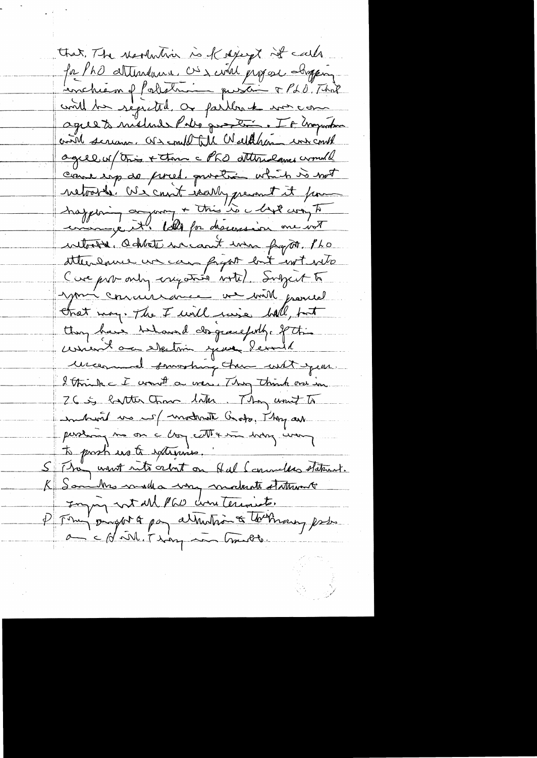that, The readership is of depeys it calls for PhO attendance. Où a civil propose company. could be registed, as partir le morcom agreet mélande Pils que trois. Il et majordeur crist serious. Of a could till Walter und could agree un tous + them a PhO attendance crownall cours imp de pired, proches which is not netorie. We can't iserly prevent it from happening augment + this "is a lyt con to without addets we cont when fraget Pho stterenne un can fryat but intento Cure pur only engation with Subject to your concrisionnement and provide Chat may. The I will ruise hall, but they have behaved clopwelche ft. writ a elketin year level uncerement souvertuing them with your. I think I want a war, Thy think one in 26 S latter than liter They unit to untient us if moderate Gods, They are pershaing me on a long contraction hoding wang to prosti us to externies. S They want note orbit on Hal Commelles statent. K Samulhos made a very moderate statement Injoy not MPW conteriont. P Fran pagar à pay attendant à tournausy prés